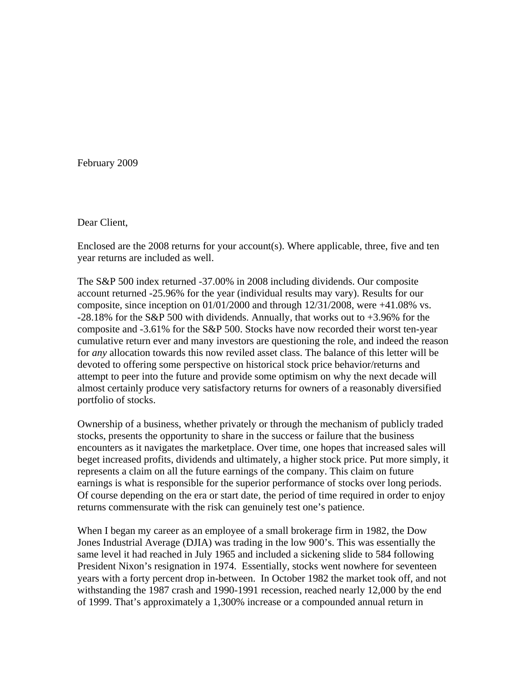February 2009

Dear Client,

Enclosed are the 2008 returns for your account(s). Where applicable, three, five and ten year returns are included as well.

The S&P 500 index returned -37.00% in 2008 including dividends. Our composite account returned -25.96% for the year (individual results may vary). Results for our composite, since inception on  $01/01/2000$  and through  $12/31/2008$ , were  $+41.08\%$  vs. -28.18% for the S&P 500 with dividends. Annually, that works out to +3.96% for the composite and -3.61% for the S&P 500. Stocks have now recorded their worst ten-year cumulative return ever and many investors are questioning the role, and indeed the reason for *any* allocation towards this now reviled asset class. The balance of this letter will be devoted to offering some perspective on historical stock price behavior/returns and attempt to peer into the future and provide some optimism on why the next decade will almost certainly produce very satisfactory returns for owners of a reasonably diversified portfolio of stocks.

Ownership of a business, whether privately or through the mechanism of publicly traded stocks, presents the opportunity to share in the success or failure that the business encounters as it navigates the marketplace. Over time, one hopes that increased sales will beget increased profits, dividends and ultimately, a higher stock price. Put more simply, it represents a claim on all the future earnings of the company. This claim on future earnings is what is responsible for the superior performance of stocks over long periods. Of course depending on the era or start date, the period of time required in order to enjoy returns commensurate with the risk can genuinely test one's patience.

When I began my career as an employee of a small brokerage firm in 1982, the Dow Jones Industrial Average (DJIA) was trading in the low 900's. This was essentially the same level it had reached in July 1965 and included a sickening slide to 584 following President Nixon's resignation in 1974. Essentially, stocks went nowhere for seventeen years with a forty percent drop in-between. In October 1982 the market took off, and not withstanding the 1987 crash and 1990-1991 recession, reached nearly 12,000 by the end of 1999. That's approximately a 1,300% increase or a compounded annual return in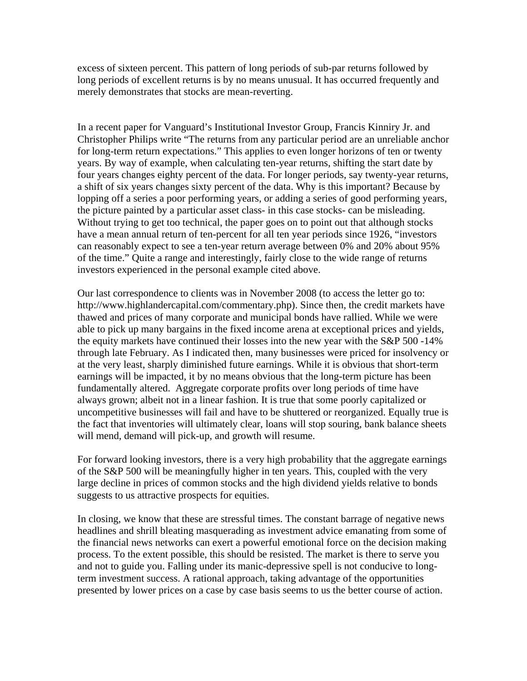excess of sixteen percent. This pattern of long periods of sub-par returns followed by long periods of excellent returns is by no means unusual. It has occurred frequently and merely demonstrates that stocks are mean-reverting.

In a recent paper for Vanguard's Institutional Investor Group, Francis Kinniry Jr. and Christopher Philips write "The returns from any particular period are an unreliable anchor for long-term return expectations." This applies to even longer horizons of ten or twenty years. By way of example, when calculating ten-year returns, shifting the start date by four years changes eighty percent of the data. For longer periods, say twenty-year returns, a shift of six years changes sixty percent of the data. Why is this important? Because by lopping off a series a poor performing years, or adding a series of good performing years, the picture painted by a particular asset class- in this case stocks- can be misleading. Without trying to get too technical, the paper goes on to point out that although stocks have a mean annual return of ten-percent for all ten year periods since 1926, "investors can reasonably expect to see a ten-year return average between 0% and 20% about 95% of the time." Quite a range and interestingly, fairly close to the wide range of returns investors experienced in the personal example cited above.

Our last correspondence to clients was in November 2008 (to access the letter go to: http://www.highlandercapital.com/commentary.php). Since then, the credit markets have thawed and prices of many corporate and municipal bonds have rallied. While we were able to pick up many bargains in the fixed income arena at exceptional prices and yields, the equity markets have continued their losses into the new year with the S&P 500 -14% through late February. As I indicated then, many businesses were priced for insolvency or at the very least, sharply diminished future earnings. While it is obvious that short-term earnings will be impacted, it by no means obvious that the long-term picture has been fundamentally altered. Aggregate corporate profits over long periods of time have always grown; albeit not in a linear fashion. It is true that some poorly capitalized or uncompetitive businesses will fail and have to be shuttered or reorganized. Equally true is the fact that inventories will ultimately clear, loans will stop souring, bank balance sheets will mend, demand will pick-up, and growth will resume.

For forward looking investors, there is a very high probability that the aggregate earnings of the S&P 500 will be meaningfully higher in ten years. This, coupled with the very large decline in prices of common stocks and the high dividend yields relative to bonds suggests to us attractive prospects for equities.

In closing, we know that these are stressful times. The constant barrage of negative news headlines and shrill bleating masquerading as investment advice emanating from some of the financial news networks can exert a powerful emotional force on the decision making process. To the extent possible, this should be resisted. The market is there to serve you and not to guide you. Falling under its manic-depressive spell is not conducive to longterm investment success. A rational approach, taking advantage of the opportunities presented by lower prices on a case by case basis seems to us the better course of action.